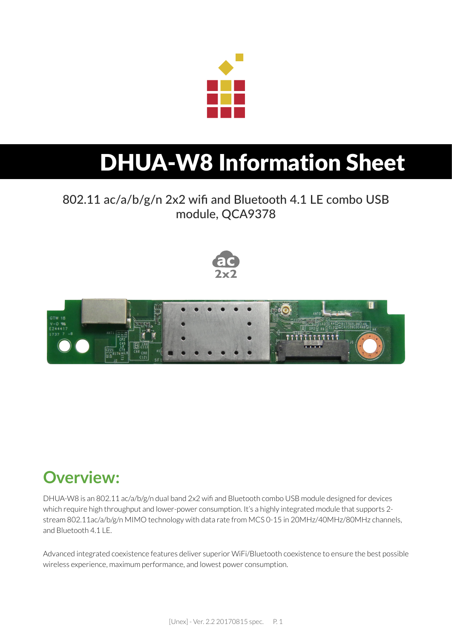

# DHUA-W8 Information Sheet

### 802.11 ac/a/b/g/n 2x2 wifi and Bluetooth 4.1 LE combo USB module, QCA9378





### **Overview:**

DHUA-W8 is an 802.11 ac/a/b/g/n dual band 2x2 wifi and Bluetooth combo USB module designed for devices which require high throughput and lower-power consumption. It's a highly integrated module that supports 2 stream 802.11ac/a/b/g/n MIMO technology with data rate from MCS 0-15 in 20MHz/40MHz/80MHz channels, and Bluetooth 4.1 LE.

Advanced integrated coexistence features deliver superior WiFi/Bluetooth coexistence to ensure the best possible wireless experience, maximum performance, and lowest power consumption.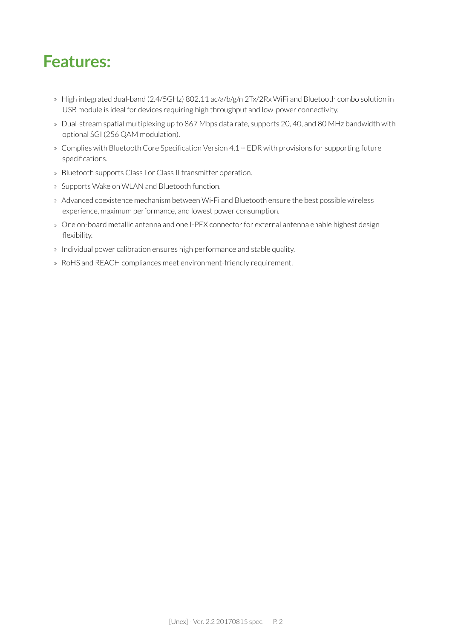### **Features:**

- » High integrated dual-band (2.4/5GHz) 802.11 ac/a/b/g/n 2Tx/2Rx WiFi and Bluetooth combo solution in USB module is ideal for devices requiring high throughput and low-power connectivity.
- » Dual-stream spatial multiplexing up to 867 Mbps data rate, supports 20, 40, and 80 MHz bandwidth with optional SGI (256 QAM modulation).
- » Complies with Bluetooth Core Specification Version 4.1 + EDR with provisions for supporting future specifications.
- » Bluetooth supports Class I or Class II transmitter operation.
- » Supports Wake on WLAN and Bluetooth function.
- » Advanced coexistence mechanism between Wi-Fi and Bluetooth ensure the best possible wireless experience, maximum performance, and lowest power consumption.
- » One on-board metallic antenna and one I-PEX connector for external antenna enable highest design flexibility.
- » Individual power calibration ensures high performance and stable quality.
- » RoHS and REACH compliances meet environment-friendly requirement.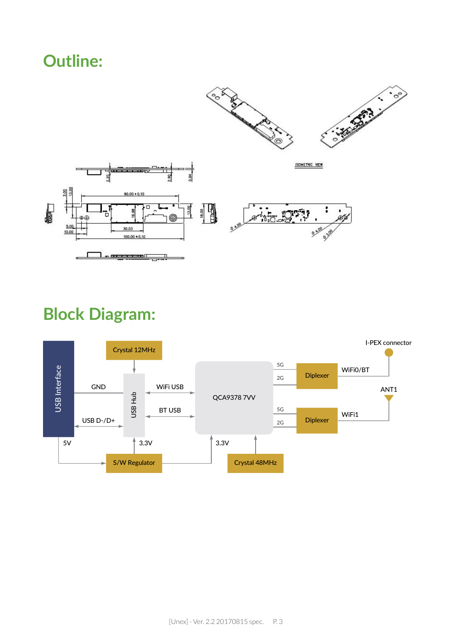### **Outline:**



## **Block Diagram:**

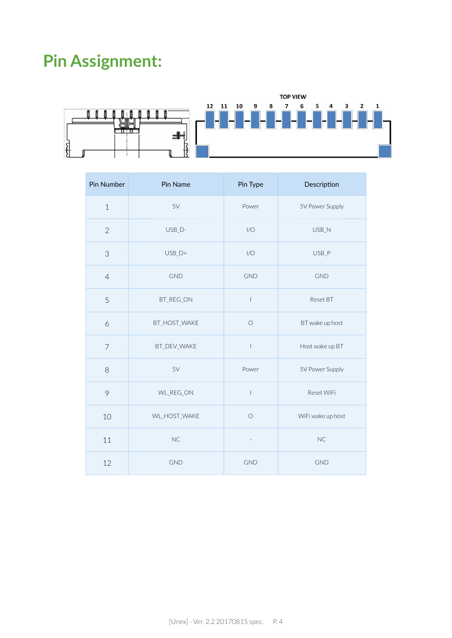## **Pin Assignment:**



| Pin Number     | Pin Name     | Pin Type                              | Description       |
|----------------|--------------|---------------------------------------|-------------------|
| $\mathbf 1$    | 5V           | Power                                 | 5V Power Supply   |
| $\overline{2}$ | USB_D-       | I/O                                   | USB_N             |
| 3              | $USB_D+$     | I/O                                   | USB_P             |
| $\overline{4}$ | <b>GND</b>   | <b>GND</b>                            | <b>GND</b>        |
| 5              | BT_REG_ON    | $\begin{array}{c} \end{array}$        | Reset BT          |
| 6              | BT_HOST_WAKE | $\bigcirc$                            | BT wake up host   |
| $\overline{7}$ | BT_DEV_WAKE  | $\overline{\phantom{a}}$              | Host wake up BT   |
| 8              | 5V           | Power                                 | 5V Power Supply   |
| 9              | WL_REG_ON    | $\begin{array}{c} \hline \end{array}$ | Reset WiFi        |
| 10             | WL_HOST_WAKE | $\bigcirc$                            | WiFi wake up host |
| 11             | NC           | $\overline{a}$                        | NC                |
| 12             | <b>GND</b>   | <b>GND</b>                            | <b>GND</b>        |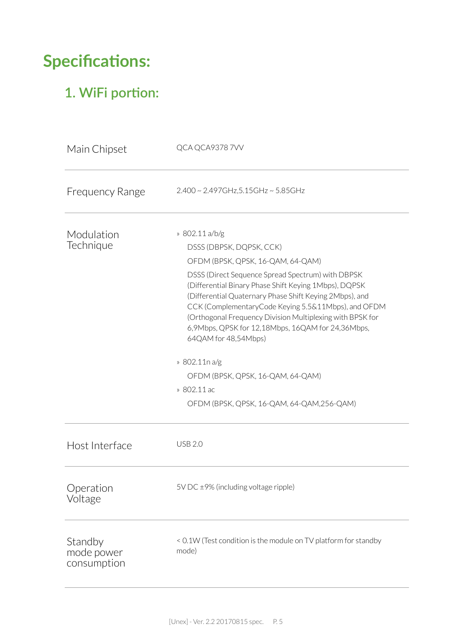## **Specifications:**

### 1. WiFi portion:

| Main Chipset                         | QCA QCA93787VV                                                                                                                                                                                                                                                                                                                                                                                                                                                                                                                                                               |
|--------------------------------------|------------------------------------------------------------------------------------------------------------------------------------------------------------------------------------------------------------------------------------------------------------------------------------------------------------------------------------------------------------------------------------------------------------------------------------------------------------------------------------------------------------------------------------------------------------------------------|
| <b>Frequency Range</b>               | 2.400 ~ 2.497GHz, 5.15GHz ~ 5.85GHz                                                                                                                                                                                                                                                                                                                                                                                                                                                                                                                                          |
| Modulation<br>Technique              | » 802.11 a/b/g<br>DSSS (DBPSK, DQPSK, CCK)<br>OFDM (BPSK, QPSK, 16-QAM, 64-QAM)<br>DSSS (Direct Sequence Spread Spectrum) with DBPSK<br>(Differential Binary Phase Shift Keying 1Mbps), DQPSK<br>(Differential Quaternary Phase Shift Keying 2Mbps), and<br>CCK (ComplementaryCode Keying 5.5&11Mbps), and OFDM<br>(Orthogonal Frequency Division Multiplexing with BPSK for<br>6,9Mbps, QPSK for 12,18Mbps, 16QAM for 24,36Mbps,<br>64QAM for 48,54Mbps)<br>» 802.11n a/g<br>OFDM (BPSK, QPSK, 16-QAM, 64-QAM)<br>» 802.11 ac<br>OFDM (BPSK, QPSK, 16-QAM, 64-QAM, 256-QAM) |
| Host Interface                       | <b>USB 2.0</b>                                                                                                                                                                                                                                                                                                                                                                                                                                                                                                                                                               |
| Operation<br>Voltage                 | 5V DC $\pm$ 9% (including voltage ripple)                                                                                                                                                                                                                                                                                                                                                                                                                                                                                                                                    |
| Standby<br>mode power<br>consumption | < 0.1W (Test condition is the module on TV platform for standby<br>mode)                                                                                                                                                                                                                                                                                                                                                                                                                                                                                                     |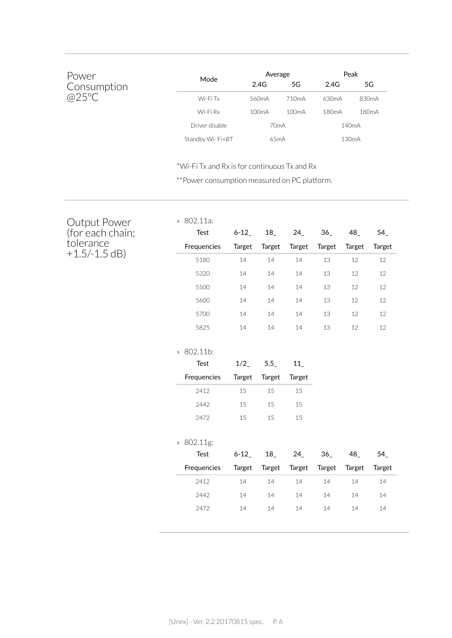| Power       | Mode             | Average            |                    | Peak               |                    |
|-------------|------------------|--------------------|--------------------|--------------------|--------------------|
| Consumption |                  | 2.4G               | 5G                 | 2.4G               | 5G                 |
| @25°C       | Wi-Fi Tx         | 560mA              | 710 <sub>m</sub> A | 630mA              | 830 <sub>m</sub> A |
|             | Wi-Fi Rx         | 100 <sub>m</sub> A | 100 <sub>m</sub> A | 180 <sub>m</sub> A | 180 <sub>m</sub> A |
|             | Driver disable   | 70mA               |                    |                    | 140 <sub>m</sub> A |
|             | Standby Wi-Fi+BT | 65 <sub>m</sub> A  |                    | 130 <sub>m</sub> A |                    |

» 802.11a:

\*Wi-Fi Tx and Rx is for continuous Tx and Rx

\*\*Power consumption measured on PC platform.

#### Output Power (for each chain; tolerance +1.5/-1.5 dB)

| <b>Test</b> | $6 - 12$ | 18     | 24       | 36     | 48_    | $54$   |
|-------------|----------|--------|----------|--------|--------|--------|
| Frequencies | Target   | Target | Target   | Target | Target | Target |
| 5180        | 14       | 14     | 14       | 13     | 12     | 12     |
| 5320        | 14       | 14     | 14       | 13     | 12     | 12     |
| 5500        | 14       | 14     | 14       | 13     | 12     | 12     |
| 5600        | 14       | 14     | 14       | 13     | 12     | 12     |
| 5700        | 14       | 14     | 14       | 13     | 12     | 12     |
| 5825        | 14       | 14     | 14       | 13     | 12     | 12     |
| » 802.11b:  |          |        |          |        |        |        |
| Test        | 1/2      | 5.5    | 11       |        |        |        |
| Frequencies | Target   | Target | Target   |        |        |        |
| 2412        | 15       | 15     | 15       |        |        |        |
| 2442        | 15       | 15     | 15       |        |        |        |
| 2472        | 15       | 15     | 15       |        |        |        |
| » 802.11g:  |          |        |          |        |        |        |
| <b>Test</b> | $6 - 12$ | 18     | $24_{-}$ | 36     | 48_    | 54     |
| Frequencies | Target   | Target | Target   | Target | Target | Target |
| 2412        | 14       | 14     | 14       | 14     | 14     | 14     |
| 2442        | 14       | 14     | 14       | 14     | 14     | 14     |
|             |          |        |          |        |        |        |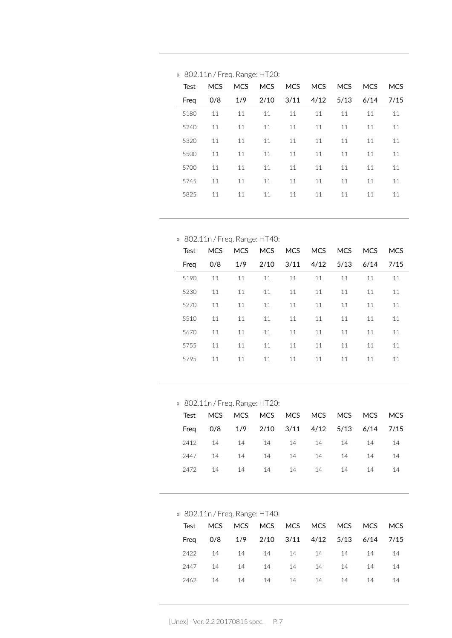|      |            | . . |    |                          |    |    |    |            |
|------|------------|-----|----|--------------------------|----|----|----|------------|
| Test | <b>MCS</b> |     |    | MCS MCS MCS MCS MCS MCS  |    |    |    | <b>MCS</b> |
| Freg | 0/8        | 1/9 |    | 2/10 3/11 4/12 5/13 6/14 |    |    |    | 7/15       |
| 5180 | 11         | 11  | 11 | 11                       | 11 | 11 | 11 | 11         |
| 5240 | 11         | 11  | 11 | 11                       | 11 | 11 | 11 | 11         |
| 5320 | 11         | 11  | 11 | 11                       | 11 | 11 | 11 | 11         |
| 5500 | 11         | 11  | 11 | 11                       | 11 | 11 | 11 | 11         |
| 5700 | 11         | 11  | 11 | 11                       | 11 | 11 | 11 | 11         |
| 5745 | 11         | 11  | 11 | 11                       | 11 | 11 | 11 | 11         |
| 5825 | 11         | 11  | 11 | 11                       | 11 | 11 | 11 | 11         |
|      |            |     |    |                          |    |    |    |            |

#### » 802.11n / Freq. Range: HT20:

» 802.11n / Freq. Range: HT40:

| Test | MCS. | <b>MCS</b> |      |    | MCS MCS MCS MCS      |    | <b>MCS</b> | <b>MCS</b> |
|------|------|------------|------|----|----------------------|----|------------|------------|
| Freg | 0/8  | 1/9        | 2/10 |    | $3/11$ $4/12$ $5/13$ |    | 6/14       | 7/15       |
| 5190 | 11   | 11         | 11   | 11 | 11                   | 11 | 11         | 11         |
| 5230 | 11   | 11         | 11   | 11 | 11                   | 11 | 11         | 11         |
| 5270 | 11   | 11         | 11   | 11 | 11                   | 11 | 11         | 11         |
| 5510 | 11   | 11         | 11   | 11 | 11                   | 11 | 11         | 11         |
| 5670 | 11   | 11         | 11   | 11 | 11                   | 11 | 11         | 11         |
| 5755 | 11   | 11         | 11   | 11 | 11                   | 11 | 11         | 11         |
| 5795 | 11   | 11         | 11   | 11 | 11                   | 11 | 11         | 11         |
|      |      |            |      |    |                      |    |            |            |

» 802.11n / Freq. Range: HT20:

| Test MCS MCS MCS MCS MCS MCS MCS MCS MCS   |  |  |  |      |
|--------------------------------------------|--|--|--|------|
| Freq 0/8 1/9 2/10 3/11 4/12 5/13 6/14 7/15 |  |  |  |      |
| 2412 14 14 14 14 14 14 14 14               |  |  |  |      |
| 2447 14 14 14 14 14 14 14                  |  |  |  | - 14 |
| 2472 14 14 14 14 14 14 14                  |  |  |  | - 14 |
|                                            |  |  |  |      |

» 802.11n / Freq. Range: HT40:

|      |  |  | Test MCS MCS MCS MCS MCS MCS MCS MCS MCS |  |    |
|------|--|--|------------------------------------------|--|----|
| Frea |  |  | 0/8 1/9 2/10 3/11 4/12 5/13 6/14 7/15    |  |    |
|      |  |  | 2422 14 14 14 14 14 14 14 14             |  |    |
|      |  |  | 2447 14 14 14 14 14 14 14                |  | 14 |
|      |  |  | 2462 14 14 14 14 14 14 14 14             |  |    |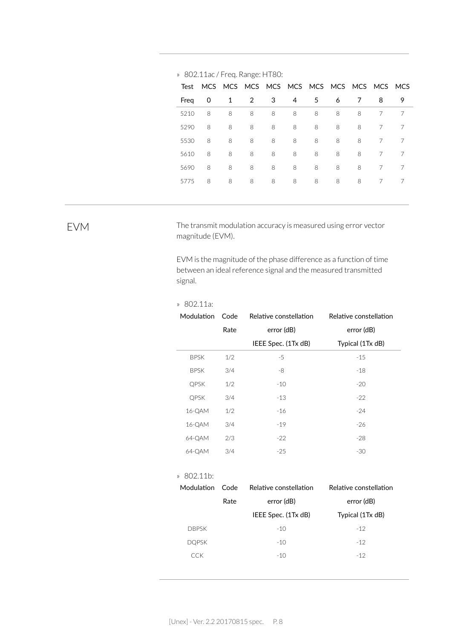| Test |   |   | MCS MCS MCS MCS MCS MCS MCS MCS MCS MCS |    |   |    |   |   |   |   |
|------|---|---|-----------------------------------------|----|---|----|---|---|---|---|
| Freg | 0 | 1 | 2                                       | -3 | 4 | .5 | 6 | 7 | 8 | 9 |
| 5210 | 8 | 8 | 8                                       | 8  | 8 | 8  | 8 | 8 | 7 | 7 |
| 5290 | 8 | 8 | 8                                       | 8  | 8 | 8  | 8 | 8 | 7 | 7 |
| 5530 | 8 | 8 | 8                                       | 8  | 8 | 8  | 8 | 8 | 7 | 7 |
| 5610 | 8 | 8 | 8                                       | 8  | 8 | 8  | 8 | 8 | 7 | 7 |
| 5690 | 8 | 8 | 8                                       | 8  | 8 | 8  | 8 | 8 | 7 | 7 |
| 5775 | 8 | 8 | 8                                       | 8  | 8 | 8  | 8 | 8 |   | 7 |
|      |   |   |                                         |    |   |    |   |   |   |   |

#### » 802.11ac / Freq. Range: HT80:

EVM The transmit modulation accuracy is measured using error vector magnitude (EVM).

> EVM is the magnitude of the phase difference as a function of time between an ideal reference signal and the measured transmitted signal.

#### » 802.11a:

| Modulation  | Code | Relative constellation | Relative constellation |
|-------------|------|------------------------|------------------------|
|             | Rate | error (dB)             | error (dB)             |
|             |      | IEEE Spec. (1Tx dB)    | Typical (1Tx dB)       |
| <b>BPSK</b> | 1/2  | $-5$                   | $-15$                  |
| <b>BPSK</b> | 3/4  | -8                     | $-18$                  |
| <b>QPSK</b> | 1/2  | $-10$                  | $-20$                  |
| <b>QPSK</b> | 3/4  | $-13$                  | $-22$                  |
| 16-QAM      | 1/2  | $-16$                  | $-24$                  |
| 16-QAM      | 3/4  | $-19$                  | $-26$                  |
| 64-QAM      | 2/3  | $-22$                  | $-28$                  |
| 64-QAM      | 3/4  | $-25$                  | -30                    |

#### » 802.11b:

| Code | Relative constellation | Relative constellation |
|------|------------------------|------------------------|
| Rate | error (dB)             | error (dB)             |
|      | IEEE Spec. (1Tx dB)    | Typical (1Tx dB)       |
|      | $-10$                  | $-12$                  |
|      | $-10$                  | $-12$                  |
|      | $-10$                  | $-12$                  |
|      |                        |                        |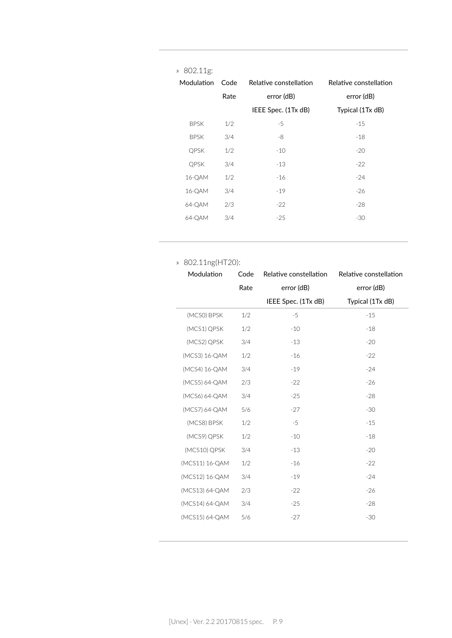| » 802.11g:  |      |                        |                        |
|-------------|------|------------------------|------------------------|
| Modulation  | Code | Relative constellation | Relative constellation |
|             | Rate | error (dB)             | error (dB)             |
|             |      | IEEE Spec. (1Tx dB)    | Typical (1Tx dB)       |
| <b>BPSK</b> | 1/2  | -5                     | $-15$                  |
| <b>BPSK</b> | 3/4  | -8                     | $-18$                  |
| QPSK        | 1/2  | $-10$                  | $-20$                  |
| <b>QPSK</b> | 3/4  | $-13$                  | $-22$                  |
| 16-QAM      | 1/2  | $-16$                  | $-24$                  |
| 16-QAM      | 3/4  | $-19$                  | $-26$                  |
| 64-QAM      | 2/3  | $-22$                  | $-28$                  |
| 64-QAM      | 3/4  | $-25$                  | $-30$                  |
|             |      |                        |                        |

#### » 802.11ng(HT20):

| Modulation     | Code | Relative constellation | Relative constellation |
|----------------|------|------------------------|------------------------|
|                | Rate | error (dB)             | error (dB)             |
|                |      | IEEE Spec. (1Tx dB)    | Typical (1Tx dB)       |
| (MCSO) BPSK    | 1/2  | $-5$                   | $-15$                  |
| (MCS1) QPSK    | 1/2  | $-10$                  | $-18$                  |
| (MCS2) QPSK    | 3/4  | $-13$                  | $-20$                  |
| (MCS3) 16-QAM  | 1/2  | $-16$                  | $-22$                  |
| (MCS4) 16-QAM  | 3/4  | $-19$                  | $-24$                  |
| (MCS5) 64-QAM  | 2/3  | $-22$                  | $-26$                  |
| (MCS6) 64-QAM  | 3/4  | $-25$                  | $-28$                  |
| (MCS7) 64-QAM  | 5/6  | $-27$                  | $-30$                  |
| (MCS8) BPSK    | 1/2  | $-5$                   | $-15$                  |
| (MCS9) QPSK    | 1/2  | $-10$                  | $-18$                  |
| (MCS10) QPSK   | 3/4  | $-13$                  | $-20$                  |
| (MCS11) 16-QAM | 1/2  | $-16$                  | $-22$                  |
| (MCS12) 16-QAM | 3/4  | $-19$                  | $-24$                  |
| (MCS13) 64-QAM | 2/3  | $-22$                  | $-26$                  |
| (MCS14) 64-QAM | 3/4  | $-25$                  | $-28$                  |
| (MCS15) 64-QAM | 5/6  | $-27$                  | $-30$                  |
|                |      |                        |                        |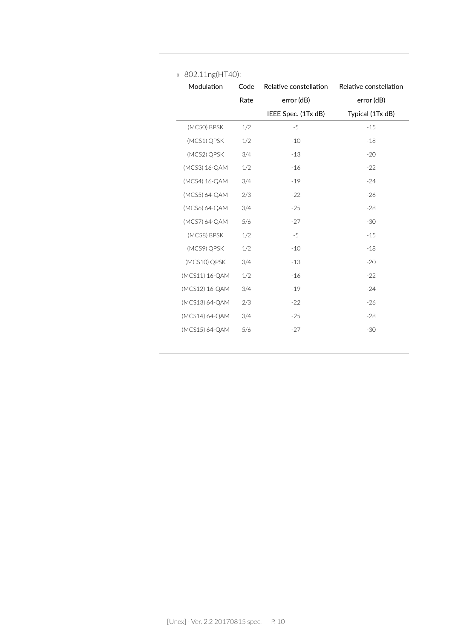| Modulation     | Code | Relative constellation | Relative constellation |
|----------------|------|------------------------|------------------------|
|                | Rate | error (dB)             | error (dB)             |
|                |      | IEEE Spec. (1Tx dB)    | Typical (1Tx dB)       |
| (MCSO) BPSK    | 1/2  | $-5$                   | $-15$                  |
| (MCS1) QPSK    | 1/2  | $-10$                  | $-18$                  |
| (MCS2) QPSK    | 3/4  | $-13$                  | $-20$                  |
| (MCS3) 16-QAM  | 1/2  | $-16$                  | $-22$                  |
| (MCS4) 16-QAM  | 3/4  | $-19$                  | $-24$                  |
| (MCS5) 64-QAM  | 2/3  | $-22$                  | $-26$                  |
| (MCS6) 64-QAM  | 3/4  | $-25$                  | $-28$                  |
| (MCS7) 64-QAM  | 5/6  | $-27$                  | $-30$                  |
| (MCS8) BPSK    | 1/2  | $-5$                   | $-15$                  |
| (MCS9) QPSK    | 1/2  | $-10$                  | $-18$                  |
| (MCS10) QPSK   | 3/4  | $-13$                  | $-20$                  |
| (MCS11) 16-QAM | 1/2  | $-16$                  | $-22$                  |
| (MCS12) 16-QAM | 3/4  | $-19$                  | $-24$                  |
| (MCS13) 64-QAM | 2/3  | $-22$                  | $-26$                  |
| (MCS14) 64-QAM | 3/4  | $-25$                  | $-28$                  |
| (MCS15) 64-QAM | 5/6  | $-27$                  | $-30$                  |
|                |      |                        |                        |

#### » 802.11ng(HT40):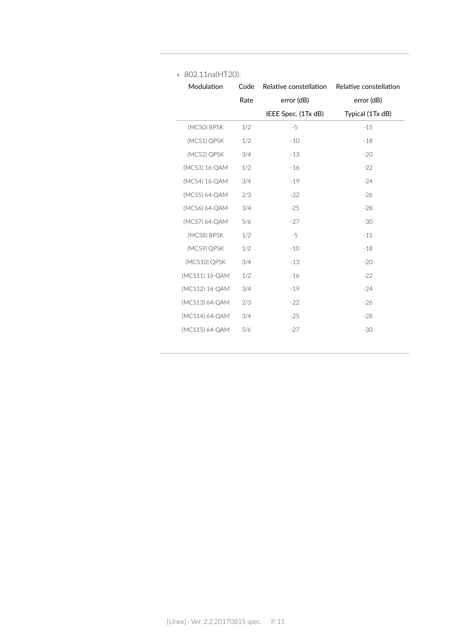| Modulation     | Code | Relative constellation | Relative constellation |
|----------------|------|------------------------|------------------------|
|                | Rate | error (dB)             | error (dB)             |
|                |      | IEEE Spec. (1Tx dB)    | Typical (1Tx dB)       |
| (MCSO) BPSK    | 1/2  | $-5$                   | $-15$                  |
| (MCS1) QPSK    | 1/2  | $-10$                  | $-18$                  |
| (MCS2) QPSK    | 3/4  | $-13$                  | $-20$                  |
| (MCS3) 16-QAM  | 1/2  | $-16$                  | $-22$                  |
| (MCS4) 16-QAM  | 3/4  | $-19$                  | $-24$                  |
| (MCS5) 64-QAM  | 2/3  | $-22$                  | $-26$                  |
| (MCS6) 64-QAM  | 3/4  | $-25$                  | $-28$                  |
| (MCS7) 64-QAM  | 5/6  | $-27$                  | $-30$                  |
| (MCS8) BPSK    | 1/2  | $-5$                   | $-15$                  |
| (MCS9) QPSK    | 1/2  | $-10$                  | $-18$                  |
| (MCS10) QPSK   | 3/4  | $-13$                  | $-20$                  |
| (MCS11) 16-QAM | 1/2  | $-16$                  | $-22$                  |
| (MCS12) 16-QAM | 3/4  | $-19$                  | $-24$                  |
| (MCS13) 64-QAM | 2/3  | $-22$                  | $-26$                  |
| (MCS14) 64-QAM | 3/4  | $-25$                  | $-28$                  |
| (MCS15) 64-QAM | 5/6  | $-27$                  | $-30$                  |

#### » 802.11na(HT20):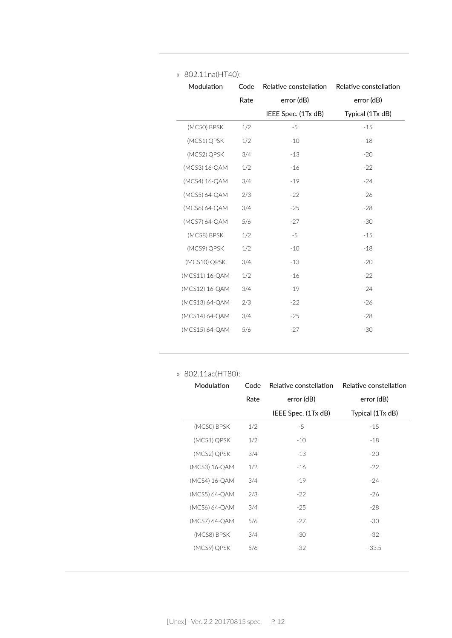| Modulation     | Code | Relative constellation | Relative constellation |
|----------------|------|------------------------|------------------------|
|                | Rate | error (dB)             | error (dB)             |
|                |      | IEEE Spec. (1Tx dB)    | Typical (1Tx dB)       |
| (MCSO) BPSK    | 1/2  | $-5$                   | $-15$                  |
| (MCS1) QPSK    | 1/2  | $-10$                  | $-18$                  |
| (MCS2) QPSK    | 3/4  | $-13$                  | $-20$                  |
| (MCS3) 16-QAM  | 1/2  | $-16$                  | $-22$                  |
| (MCS4) 16-QAM  | 3/4  | $-19$                  | $-24$                  |
| (MCS5) 64-QAM  | 2/3  | $-22$                  | $-26$                  |
| (MCS6) 64-QAM  | 3/4  | $-25$                  | $-28$                  |
| (MCS7) 64-QAM  | 5/6  | $-27$                  | $-30$                  |
| (MCS8) BPSK    | 1/2  | $-5$                   | $-15$                  |
| (MCS9) QPSK    | 1/2  | $-10$                  | $-18$                  |
| (MCS10) QPSK   | 3/4  | $-13$                  | $-20$                  |
| (MCS11) 16-QAM | 1/2  | $-16$                  | $-22$                  |
| (MCS12) 16-QAM | 3/4  | $-19$                  | $-24$                  |
| (MCS13) 64-QAM | 2/3  | $-22$                  | $-26$                  |
| (MCS14) 64-QAM | 3/4  | $-25$                  | $-28$                  |
| (MCS15) 64-QAM | 5/6  | $-27$                  | $-30$                  |

#### » 802.11na(HT40):

#### » 802.11ac(HT80):

| Modulation    | Code | Relative constellation | Relative constellation |
|---------------|------|------------------------|------------------------|
|               | Rate | error (dB)             | error (dB)             |
|               |      | IEEE Spec. (1Tx dB)    | Typical (1Tx dB)       |
| (MCSO) BPSK   | 1/2  | -5                     | $-15$                  |
| (MCS1) QPSK   | 1/2  | $-10$                  | $-18$                  |
| (MCS2) QPSK   | 3/4  | $-13$                  | $-20$                  |
| (MCS3) 16-QAM | 1/2  | $-16$                  | $-22$                  |
| (MCS4) 16-QAM | 3/4  | $-19$                  | $-24$                  |
| (MCS5) 64-QAM | 2/3  | $-22$                  | $-26$                  |
| (MCS6) 64-QAM | 3/4  | $-25$                  | $-28$                  |
| (MCS7) 64-QAM | 5/6  | $-27$                  | $-30$                  |
| (MCS8) BPSK   | 3/4  | $-30$                  | $-32$                  |
| (MCS9) QPSK   | 5/6  | $-32$                  | $-33.5$                |
|               |      |                        |                        |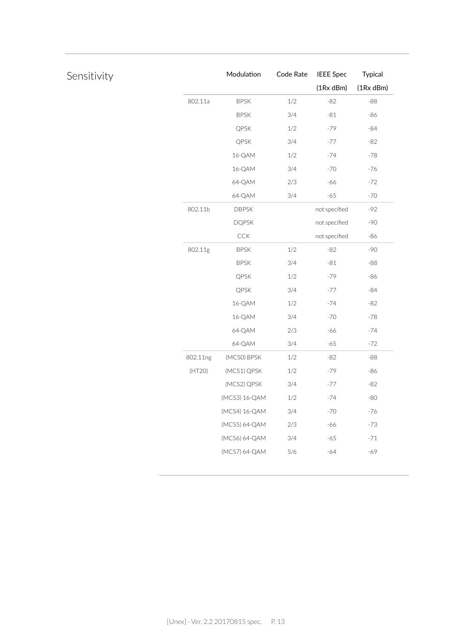|          | Modulation    | Code Rate | <b>IEEE</b> Spec | Typical   |
|----------|---------------|-----------|------------------|-----------|
|          |               |           | $(1Rx$ dBm $)$   | (1Rx dBm) |
| 802.11a  | <b>BPSK</b>   | $1/2\,$   | $-82$            | $-88$     |
|          | <b>BPSK</b>   | 3/4       | $-81$            | $-86$     |
|          | QPSK          | $1/2$     | $-79$            | $-84$     |
|          | QPSK          | 3/4       | $-77$            | $-82$     |
|          | 16-QAM        | 1/2       | $-74$            | $-78$     |
|          | 16-QAM        | 3/4       | $-70$            | $-76$     |
|          | 64-QAM        | 2/3       | $-66$            | $-72$     |
|          | 64-QAM        | 3/4       | $-65$            | $-70$     |
| 802.11b  | <b>DBPSK</b>  |           | not specified    | $-92$     |
|          | <b>DQPSK</b>  |           | not specified    | $-90$     |
|          | CCK           |           | not specified    | $-86$     |
| 802.11g  | <b>BPSK</b>   | $1/2\,$   | $-82$            | $-90$     |
|          | <b>BPSK</b>   | 3/4       | $-81\,$          | $-88$     |
|          | QPSK          | $1/2$     | -79              | $-86$     |
|          | QPSK          | 3/4       | $-77$            | $-84$     |
|          | 16-QAM        | $1/2$     | $-74$            | $-82$     |
|          | 16-QAM        | 3/4       | $-70$            | $-78$     |
|          | 64-QAM        | 2/3       | $-66$            | $-74$     |
|          | 64-QAM        | 3/4       | $-65$            | $-72$     |
| 802.11ng | (MCSO) BPSK   | $1/2$     | $-82$            | $-88$     |
| (HT20)   | (MCS1) QPSK   | 1/2       | -79              | $-86$     |
|          | (MCS2) QPSK   | 3/4       | $-77$            | $-82$     |
|          | (MCS3) 16-QAM | 1/2       | $-74$            | $-80$     |
|          | (MCS4) 16-QAM | 3/4       | $-70$            | $-76$     |
|          | (MCS5) 64-QAM | 2/3       | $-66$            | $-73$     |
|          | (MCS6) 64-QAM | 3/4       | $-65$            | $-71$     |
|          | (MCS7) 64-QAM | 5/6       | $-64$            | -69       |

### Sensitivity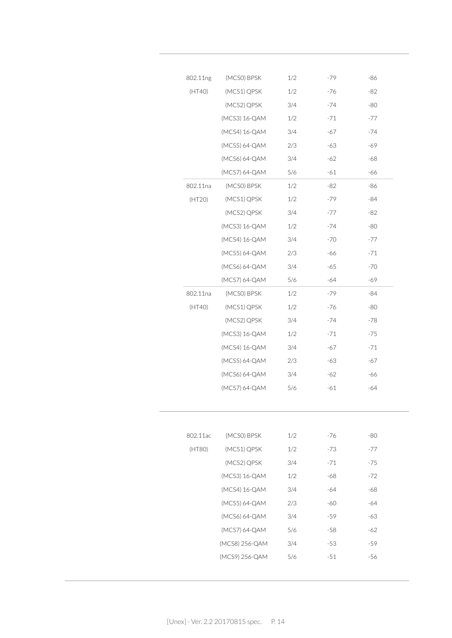| 802.11ng | (MCSO) BPSK    | 1/2 | -79   | -86   |
|----------|----------------|-----|-------|-------|
| (HT40)   | (MCS1) QPSK    | 1/2 | -76   | -82   |
|          | (MCS2) QPSK    | 3/4 | $-74$ | -80   |
|          | (MCS3) 16-QAM  | 1/2 | $-71$ | -77   |
|          | (MCS4) 16-QAM  | 3/4 | -67   | $-74$ |
|          | (MCS5) 64-QAM  | 2/3 | $-63$ | -69   |
|          | (MCS6) 64-QAM  | 3/4 | $-62$ | $-68$ |
|          | (MCS7) 64-QAM  | 5/6 | $-61$ | $-66$ |
| 802.11na | (MCSO) BPSK    | 1/2 | -82   | -86   |
| (HT20)   | (MCS1) QPSK    | 1/2 | -79   | -84   |
|          | (MCS2) QPSK    | 3/4 | $-77$ | -82   |
|          | (MCS3) 16-QAM  | 1/2 | $-74$ | $-80$ |
|          | (MCS4) 16-QAM  | 3/4 | $-70$ | -77   |
|          | (MCS5) 64-QAM  | 2/3 | -66   | $-71$ |
|          | (MCS6) 64-QAM  | 3/4 | -65   | $-70$ |
|          | (MCS7) 64-QAM  | 5/6 | $-64$ | -69   |
| 802.11na | (MCSO) BPSK    | 1/2 | -79   | -84   |
| (HT40)   | (MCS1) QPSK    | 1/2 | $-76$ | -80   |
|          | (MCS2) QPSK    | 3/4 | $-74$ | -78   |
|          | (MCS3) 16-QAM  | 1/2 | -71   | $-75$ |
|          | (MCS4) 16-QAM  | 3/4 | -67   | $-71$ |
|          | (MCS5) 64-QAM  | 2/3 | -63   | -67   |
|          | (MCS6) 64-QAM  | 3/4 | -62   | -66   |
|          | (MCS7) 64-QAM  | 5/6 | $-61$ | -64   |
|          |                |     |       |       |
| 802.11ac | (MCSO) BPSK    | 1/2 | $-76$ | -80   |
| (HT80)   | (MCS1) QPSK    | 1/2 | $-73$ | $-77$ |
|          | (MCS2) QPSK    | 3/4 | $-71$ | $-75$ |
|          | (MCS3) 16-QAM  | 1/2 | -68   | $-72$ |
|          | (MCS4) 16-QAM  | 3/4 | -64   | -68   |
|          | (MCS5) 64-QAM  | 2/3 | -60   | -64   |
|          | (MCS6) 64-QAM  | 3/4 | -59   | -63   |
|          |                | 5/6 | -58   | $-62$ |
|          | (MCS7) 64-QAM  |     |       |       |
|          | (MCS8) 256-QAM | 3/4 | -53   | -59   |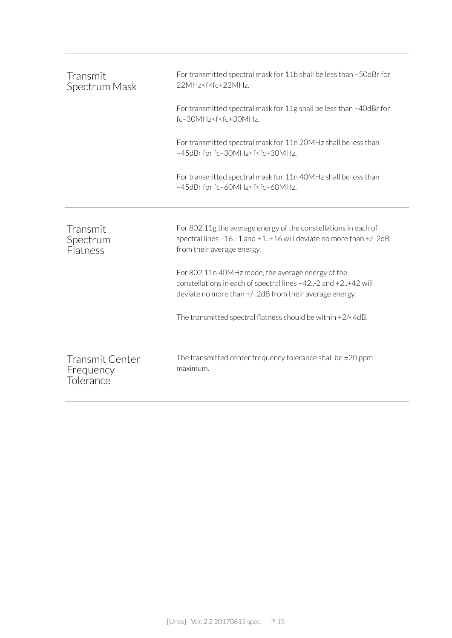| Transmit<br>Spectrum Mask                        | For transmitted spectral mask for 11b shall be less than -50dBr for<br>22MHz <f<fc+22mhz.< th=""></f<fc+22mhz.<>                                                               |
|--------------------------------------------------|--------------------------------------------------------------------------------------------------------------------------------------------------------------------------------|
|                                                  | For transmitted spectral mask for 11g shall be less than -40dBr for<br>fc-30MHz <f<fc+30mhz.< td=""></f<fc+30mhz.<>                                                            |
|                                                  | For transmitted spectral mask for 11n 20MHz shall be less than<br>-45dBr for fc-30MHz <f<fc+30mhz.< td=""></f<fc+30mhz.<>                                                      |
|                                                  | For transmitted spectral mask for 11n 40MHz shall be less than<br>-45dBr for fc-60MHz <f<fc+60mhz.< td=""></f<fc+60mhz.<>                                                      |
| Transmit<br>Spectrum<br>Flatness                 | For 802.11g the average energy of the constellations in each of<br>spectral lines $-161$ and $+1+16$ will deviate no more than $+/- 2dB$<br>from their average energy.         |
|                                                  | For 802.11n 40MHz mode, the average energy of the<br>constellations in each of spectral lines -42.-2 and +2+42 will<br>deviate no more than +/- 2dB from their average energy. |
|                                                  | The transmitted spectral flatness should be within $+2/-4dB$ .                                                                                                                 |
| <b>Transmit Center</b><br>Frequency<br>Tolerance | The transmitted center frequency tolerance shall be $\pm 20$ ppm<br>maximum.                                                                                                   |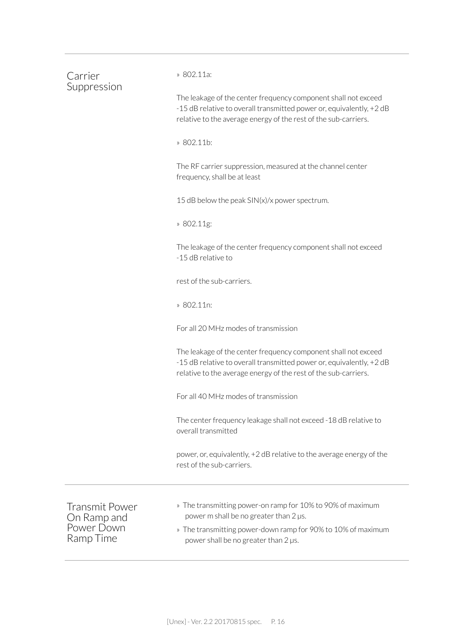| Carrier<br>Suppression                                          | » 802.11a:                                                                                                                                                                                                   |  |  |  |  |
|-----------------------------------------------------------------|--------------------------------------------------------------------------------------------------------------------------------------------------------------------------------------------------------------|--|--|--|--|
|                                                                 | The leakage of the center frequency component shall not exceed<br>-15 dB relative to overall transmitted power or, equivalently, +2 dB<br>relative to the average energy of the rest of the sub-carriers.    |  |  |  |  |
|                                                                 | » 802.11b:                                                                                                                                                                                                   |  |  |  |  |
|                                                                 | The RF carrier suppression, measured at the channel center<br>frequency, shall be at least                                                                                                                   |  |  |  |  |
|                                                                 | 15 dB below the peak SIN(x)/x power spectrum.                                                                                                                                                                |  |  |  |  |
|                                                                 | » 802.11g:                                                                                                                                                                                                   |  |  |  |  |
|                                                                 | The leakage of the center frequency component shall not exceed<br>-15 dB relative to                                                                                                                         |  |  |  |  |
|                                                                 | rest of the sub-carriers.<br>» 802.11n:                                                                                                                                                                      |  |  |  |  |
|                                                                 |                                                                                                                                                                                                              |  |  |  |  |
|                                                                 | For all 20 MHz modes of transmission                                                                                                                                                                         |  |  |  |  |
|                                                                 | The leakage of the center frequency component shall not exceed<br>-15 dB relative to overall transmitted power or, equivalently, +2 dB<br>relative to the average energy of the rest of the sub-carriers.    |  |  |  |  |
|                                                                 | For all 40 MHz modes of transmission                                                                                                                                                                         |  |  |  |  |
|                                                                 | The center frequency leakage shall not exceed -18 dB relative to<br>overall transmitted                                                                                                                      |  |  |  |  |
|                                                                 | power, or, equivalently, +2 dB relative to the average energy of the<br>rest of the sub-carriers.                                                                                                            |  |  |  |  |
| <b>Transmit Power</b><br>On Ramp and<br>Power Down<br>Ramp Time | » The transmitting power-on ramp for 10% to 90% of maximum<br>power m shall be no greater than 2 µs.<br>» The transmitting power-down ramp for 90% to 10% of maximum<br>power shall be no greater than 2 µs. |  |  |  |  |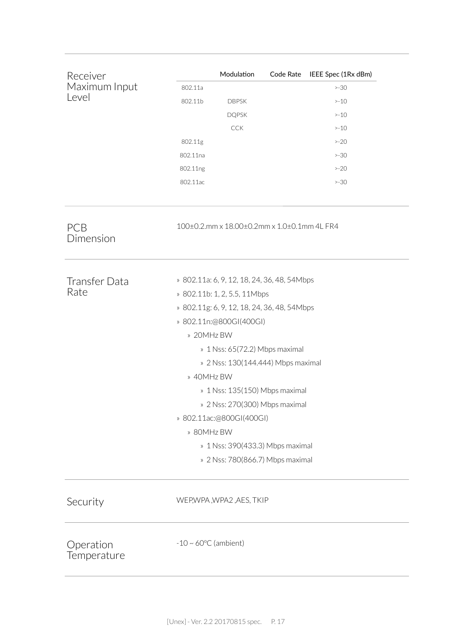| Receiver                 |                                             | Modulation                                  |  | Code Rate IEEE Spec (1Rx dBm) |  |
|--------------------------|---------------------------------------------|---------------------------------------------|--|-------------------------------|--|
| Maximum Input            | 802.11a                                     |                                             |  | $>-30$                        |  |
| Level                    | 802.11b                                     | <b>DBPSK</b>                                |  | $> -10$                       |  |
|                          |                                             | <b>DQPSK</b>                                |  | $> -10$                       |  |
|                          |                                             | <b>CCK</b>                                  |  | $> -10$                       |  |
|                          | 802.11g                                     |                                             |  | $>-20$                        |  |
|                          | 802.11na                                    |                                             |  | $>-30$                        |  |
|                          | 802.11ng                                    |                                             |  | $>-20$                        |  |
|                          | 802.11ac                                    |                                             |  | $>-30$                        |  |
| <b>PCB</b><br>Dimension  |                                             | 100±0.2.mm x 18.00±0.2mm x 1.0±0.1mm 4L FR4 |  |                               |  |
| <b>Transfer Data</b>     | » 802.11a: 6, 9, 12, 18, 24, 36, 48, 54Mbps |                                             |  |                               |  |
| Rate                     | » 802.11b: 1, 2, 5.5, 11Mbps                |                                             |  |                               |  |
|                          | » 802.11g: 6, 9, 12, 18, 24, 36, 48, 54Mbps |                                             |  |                               |  |
|                          | » 802.11n:@800GI(400GI)                     |                                             |  |                               |  |
|                          | » 20MHz BW                                  |                                             |  |                               |  |
|                          | » 1 Nss: 65(72.2) Mbps maximal              |                                             |  |                               |  |
|                          | » 2 Nss: 130(144.444) Mbps maximal          |                                             |  |                               |  |
|                          | » 40MHz BW                                  |                                             |  |                               |  |
|                          | » 1 Nss: 135(150) Mbps maximal              |                                             |  |                               |  |
|                          | » 2 Nss: 270(300) Mbps maximal              |                                             |  |                               |  |
|                          | » 802.11ac:@800GI(400GI)                    |                                             |  |                               |  |
|                          | » 80MHz BW                                  |                                             |  |                               |  |
|                          | » 1 Nss: 390(433.3) Mbps maximal            |                                             |  |                               |  |
|                          |                                             | » 2 Nss: 780(866.7) Mbps maximal            |  |                               |  |
| Security                 |                                             | WEP, WPA, WPA2, AES, TKIP                   |  |                               |  |
| Operation<br>Temperature | $-10 \sim 60^{\circ}$ C (ambient)           |                                             |  |                               |  |
|                          |                                             |                                             |  |                               |  |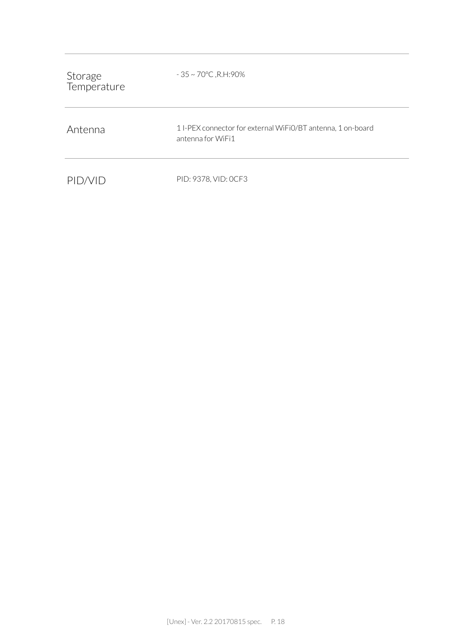| Storage<br>Temperature | $-35 \sim 70^{\circ}$ C, R.H: 90%                                               |
|------------------------|---------------------------------------------------------------------------------|
| Antenna                | 1I-PEX connector for external WiFiO/BT antenna, 1 on-board<br>antenna for WiFi1 |
| PID/VID                | PID: 9378, VID: OCF3                                                            |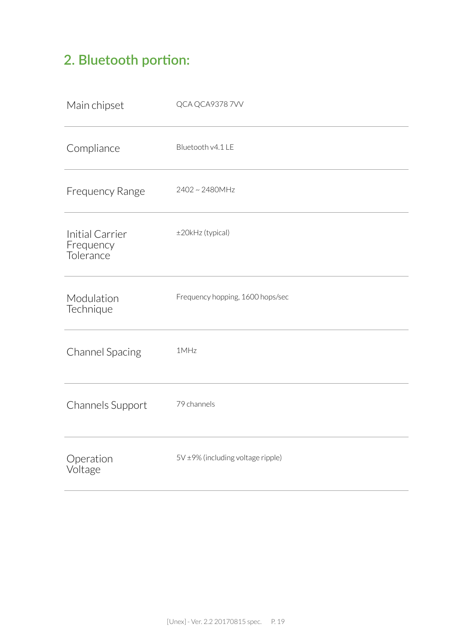### **2. Bluetooth portion:**

| Main chipset                              | QCA QCA93787VV                    |
|-------------------------------------------|-----------------------------------|
| Compliance                                | Bluetooth v4.1 LE                 |
| <b>Frequency Range</b>                    | 2402~2480MHz                      |
| Initial Carrier<br>Frequency<br>Tolerance | ±20kHz (typical)                  |
| Modulation<br>Technique                   | Frequency hopping, 1600 hops/sec  |
| <b>Channel Spacing</b>                    | 1MHz                              |
| Channels Support                          | 79 channels                       |
| Operation<br>Voltage                      | 5V ±9% (including voltage ripple) |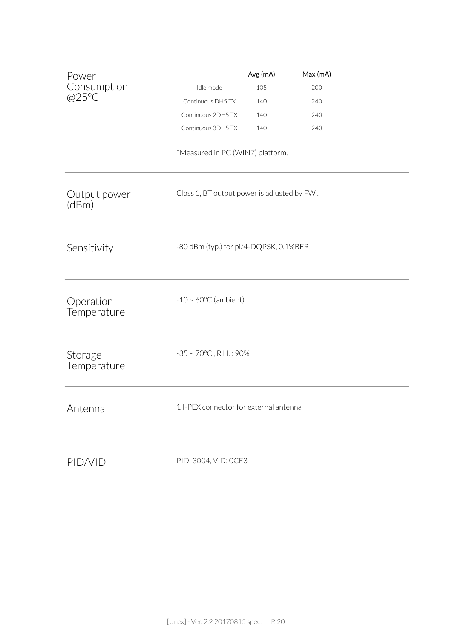| Power<br>Consumption<br>@25°C |                                             | Avg (mA) | Max (mA) |  |
|-------------------------------|---------------------------------------------|----------|----------|--|
|                               | Idle mode                                   | 105      | 200      |  |
|                               | Continuous DH5 TX                           | 140      | 240      |  |
|                               | Continuous 2DH5 TX                          | 140      | 240      |  |
|                               | Continuous 3DH5 TX                          | 140      | 240      |  |
|                               | *Measured in PC (WIN7) platform.            |          |          |  |
| Output power<br>(dBm)         | Class 1, BT output power is adjusted by FW. |          |          |  |
| Sensitivity                   | -80 dBm (typ.) for pi/4-DQPSK, 0.1%BER      |          |          |  |
| Operation<br>Temperature      | $-10 \sim 60^{\circ}$ C (ambient)           |          |          |  |
| Storage<br>Temperature        | $-35 \sim 70^{\circ}$ C, R.H.: 90%          |          |          |  |
| Antenna                       | 1 I-PEX connector for external antenna      |          |          |  |
| PID/VID                       | PID: 3004, VID: 0CF3                        |          |          |  |